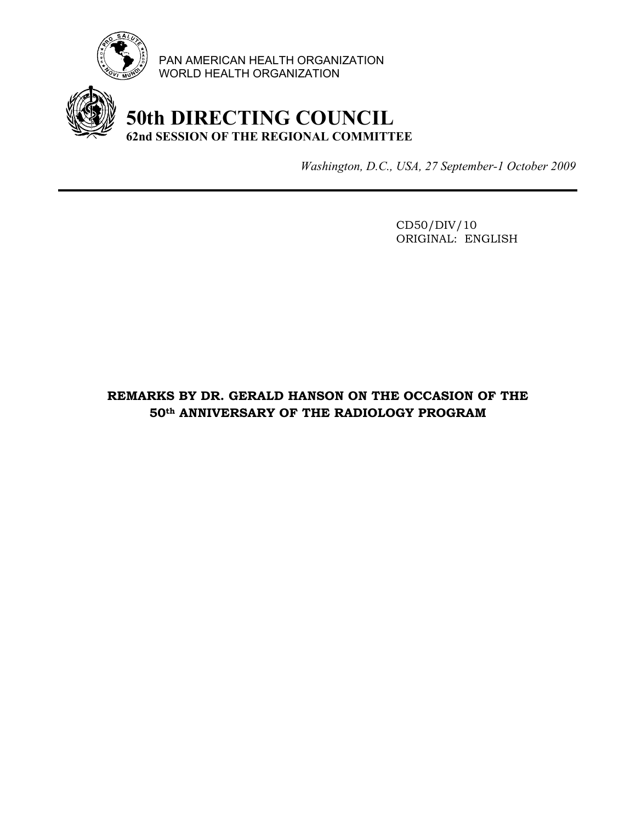

PAN AMERICAN HEALTH ORGANIZATION WORLD HEALTH ORGANIZATION

## **50th DIRECTING COUNCIL 62nd SESSION OF THE REGIONAL COMMITTEE**

*Washington, D.C., USA, 27 September-1 October 2009*

 CD50/DIV/10 ORIGINAL: ENGLISH

## **REMARKS BY DR. GERALD HANSON ON THE OCCASION OF THE 50th ANNIVERSARY OF THE RADIOLOGY PROGRAM**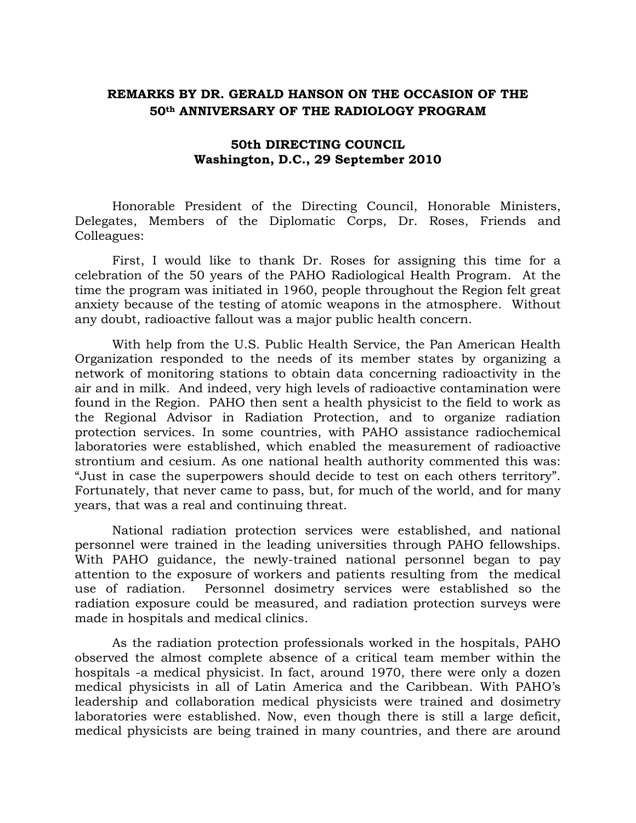## **REMARKS BY DR. GERALD HANSON ON THE OCCASION OF THE 50th ANNIVERSARY OF THE RADIOLOGY PROGRAM**

## **50th DIRECTING COUNCIL Washington, D.C., 29 September 2010**

Honorable President of the Directing Council, Honorable Ministers, Delegates, Members of the Diplomatic Corps, Dr. Roses, Friends and Colleagues:

First, I would like to thank Dr. Roses for assigning this time for a celebration of the 50 years of the PAHO Radiological Health Program. At the time the program was initiated in 1960, people throughout the Region felt great anxiety because of the testing of atomic weapons in the atmosphere. Without any doubt, radioactive fallout was a major public health concern.

With help from the U.S. Public Health Service, the Pan American Health Organization responded to the needs of its member states by organizing a network of monitoring stations to obtain data concerning radioactivity in the air and in milk. And indeed, very high levels of radioactive contamination were found in the Region. PAHO then sent a health physicist to the field to work as the Regional Advisor in Radiation Protection, and to organize radiation protection services. In some countries, with PAHO assistance radiochemical laboratories were established, which enabled the measurement of radioactive strontium and cesium. As one national health authority commented this was: "Just in case the superpowers should decide to test on each others territory". Fortunately, that never came to pass, but, for much of the world, and for many years, that was a real and continuing threat.

National radiation protection services were established, and national personnel were trained in the leading universities through PAHO fellowships. With PAHO guidance, the newly-trained national personnel began to pay attention to the exposure of workers and patients resulting from the medical use of radiation. Personnel dosimetry services were established so the radiation exposure could be measured, and radiation protection surveys were made in hospitals and medical clinics.

As the radiation protection professionals worked in the hospitals, PAHO observed the almost complete absence of a critical team member within the hospitals -a medical physicist. In fact, around 1970, there were only a dozen medical physicists in all of Latin America and the Caribbean. With PAHO's leadership and collaboration medical physicists were trained and dosimetry laboratories were established. Now, even though there is still a large deficit, medical physicists are being trained in many countries, and there are around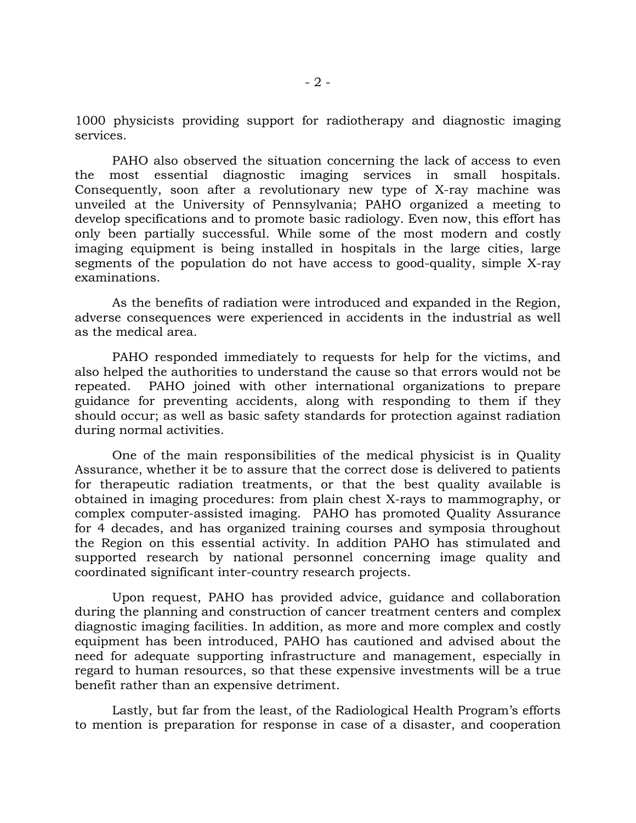1000 physicists providing support for radiotherapy and diagnostic imaging services.

PAHO also observed the situation concerning the lack of access to even the most essential diagnostic imaging services in small hospitals. Consequently, soon after a revolutionary new type of X-ray machine was unveiled at the University of Pennsylvania; PAHO organized a meeting to develop specifications and to promote basic radiology. Even now, this effort has only been partially successful. While some of the most modern and costly imaging equipment is being installed in hospitals in the large cities, large segments of the population do not have access to good-quality, simple X-ray examinations.

As the benefits of radiation were introduced and expanded in the Region, adverse consequences were experienced in accidents in the industrial as well as the medical area.

PAHO responded immediately to requests for help for the victims, and also helped the authorities to understand the cause so that errors would not be repeated. PAHO joined with other international organizations to prepare guidance for preventing accidents, along with responding to them if they should occur; as well as basic safety standards for protection against radiation during normal activities.

One of the main responsibilities of the medical physicist is in Quality Assurance, whether it be to assure that the correct dose is delivered to patients for therapeutic radiation treatments, or that the best quality available is obtained in imaging procedures: from plain chest X-rays to mammography, or complex computer-assisted imaging. PAHO has promoted Quality Assurance for 4 decades, and has organized training courses and symposia throughout the Region on this essential activity. In addition PAHO has stimulated and supported research by national personnel concerning image quality and coordinated significant inter-country research projects.

Upon request, PAHO has provided advice, guidance and collaboration during the planning and construction of cancer treatment centers and complex diagnostic imaging facilities. In addition, as more and more complex and costly equipment has been introduced, PAHO has cautioned and advised about the need for adequate supporting infrastructure and management, especially in regard to human resources, so that these expensive investments will be a true benefit rather than an expensive detriment.

Lastly, but far from the least, of the Radiological Health Program's efforts to mention is preparation for response in case of a disaster, and cooperation